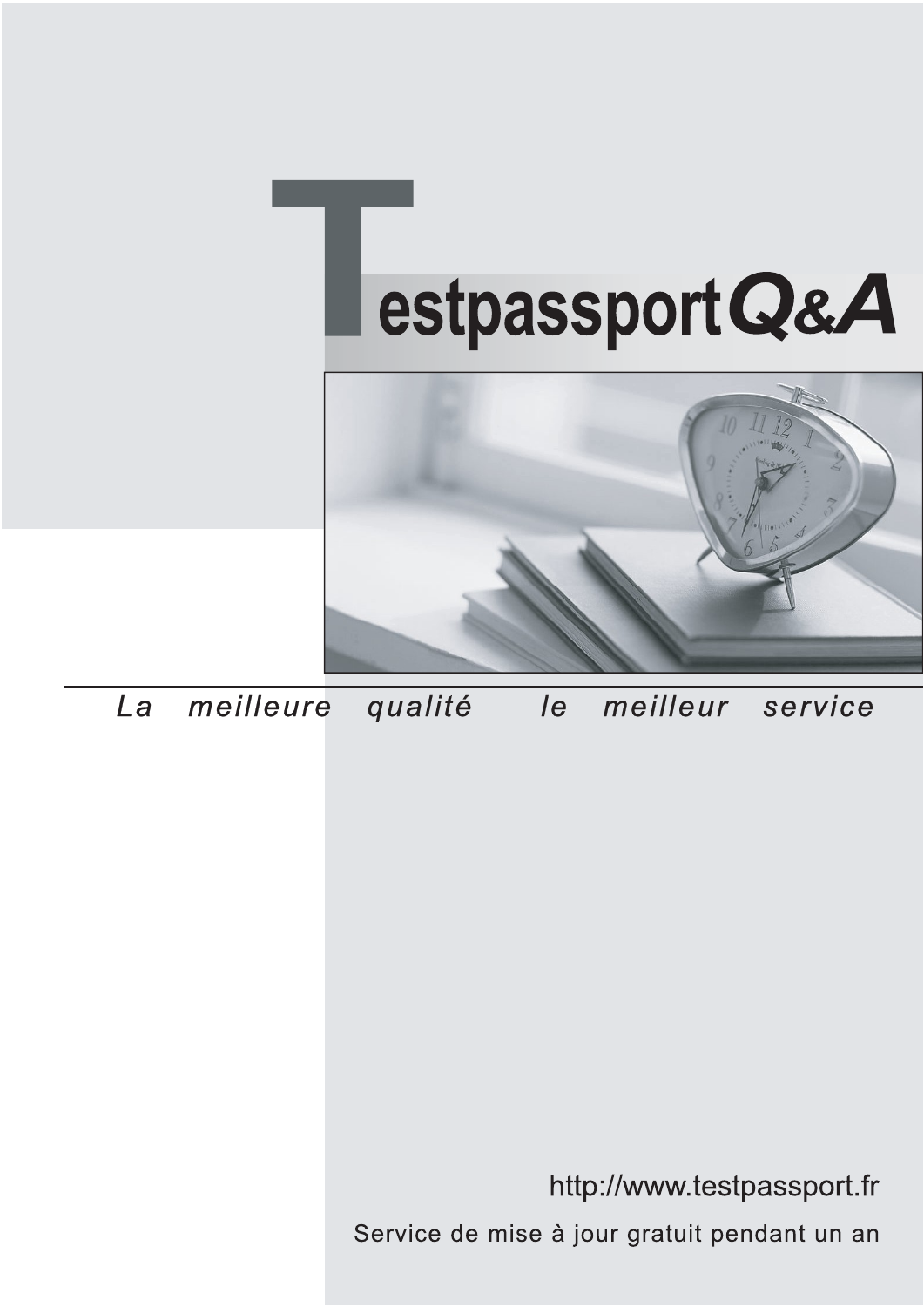



meilleure La qualité  $\overline{e}$ meilleur service

http://www.testpassport.fr

Service de mise à jour gratuit pendant un an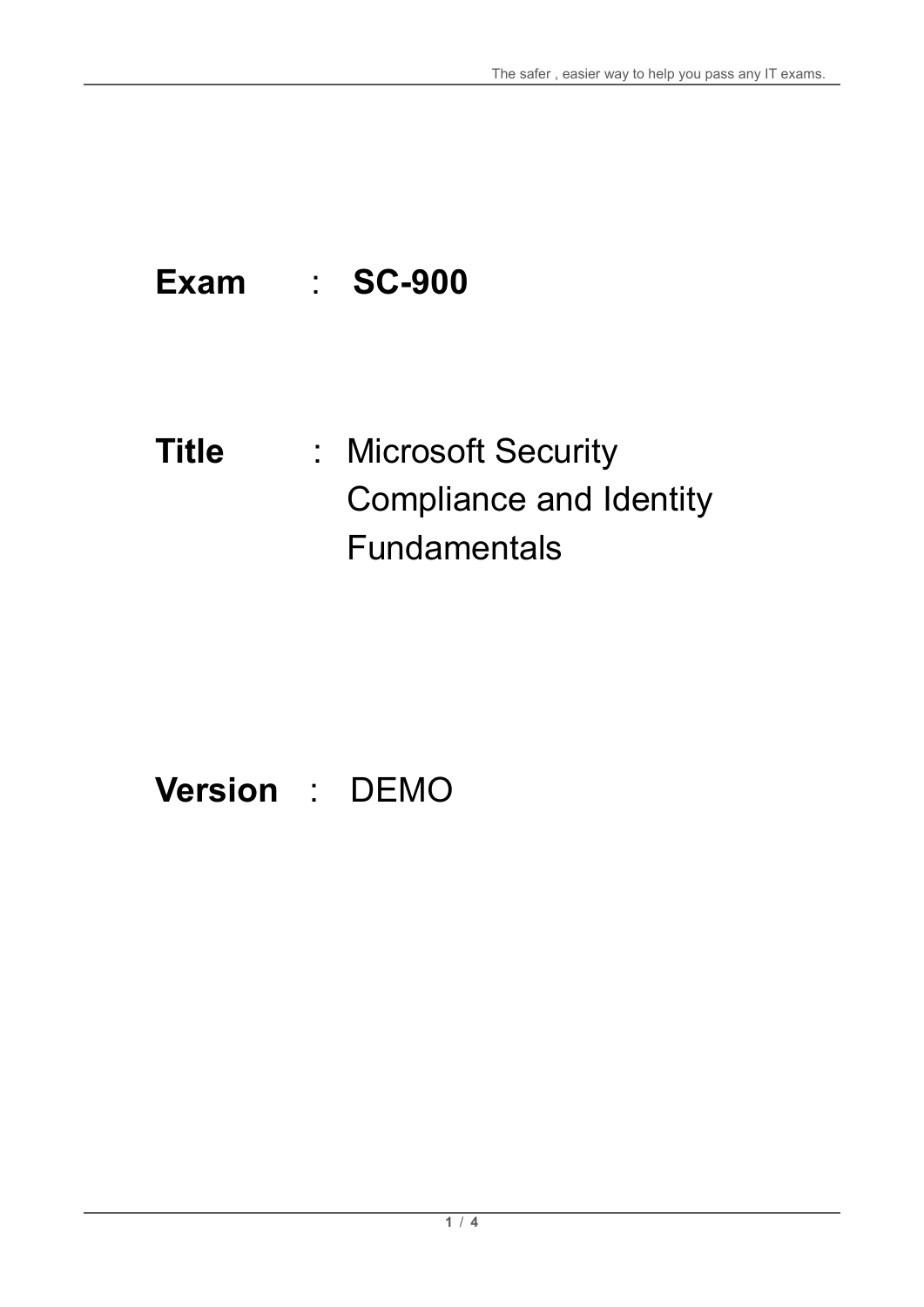# **Exam** : **SC-900**

# **Title** : Microsoft Security Compliance and Identity Fundamentals

# **Version** : DEMO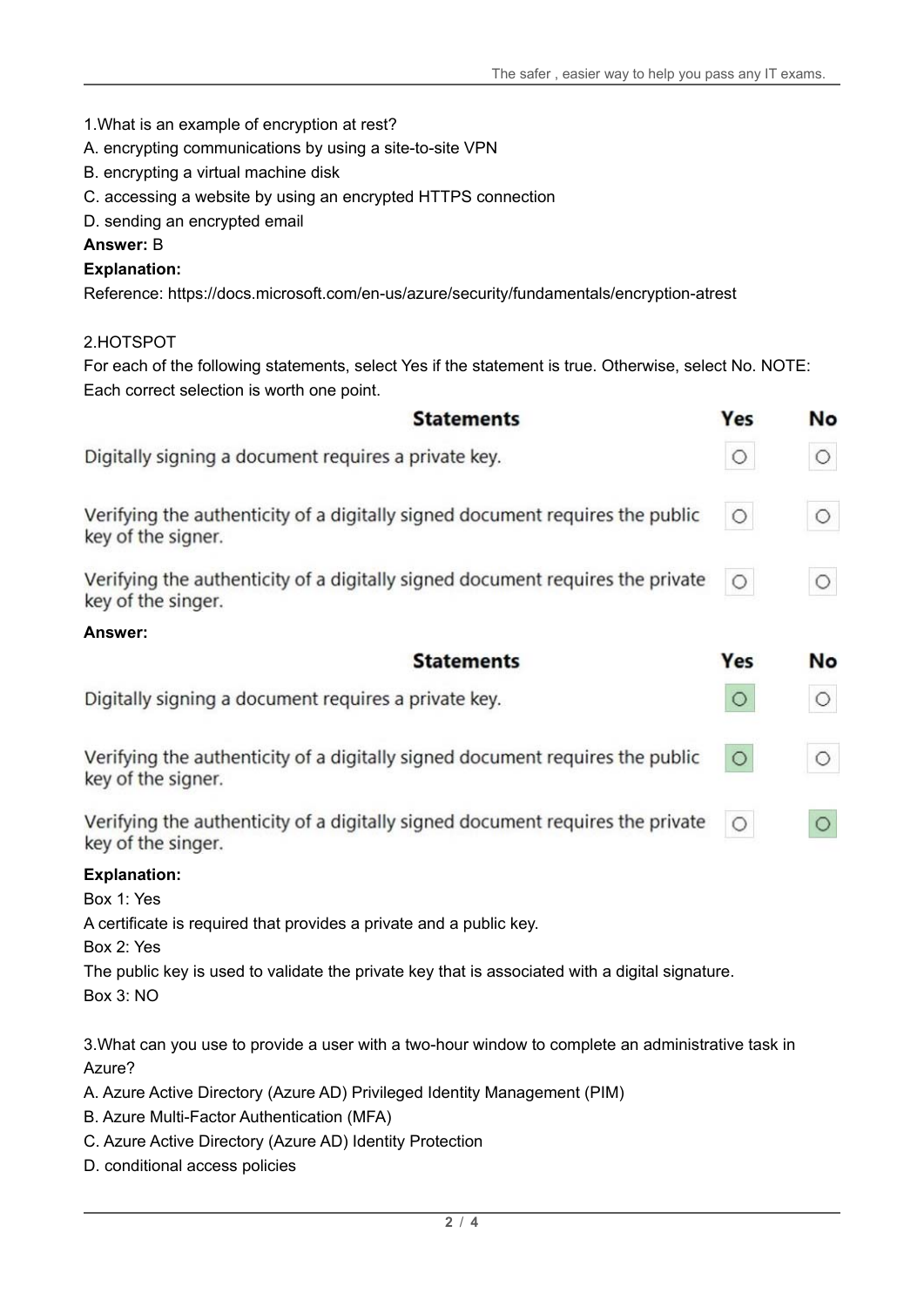1.What is an example of encryption at rest?

- A. encrypting communications by using a site-to-site VPN
- B. encrypting a virtual machine disk
- C. accessing a website by using an encrypted HTTPS connection
- D. sending an encrypted email

#### **Answer:** B

#### **Explanation:**

Reference: https://docs.microsoft.com/en-us/azure/security/fundamentals/encryption-atrest

#### 2.HOTSPOT

For each of the following statements, select Yes if the statement is true. Otherwise, select No. NOTE: Each correct selection is worth one point.

| <b>Statements</b>                                                                                                   | Yes     | No      |
|---------------------------------------------------------------------------------------------------------------------|---------|---------|
| Digitally signing a document requires a private key.                                                                | $\circ$ | $\circ$ |
| Verifying the authenticity of a digitally signed document requires the public<br>key of the signer.                 | $\circ$ | $\circ$ |
| Verifying the authenticity of a digitally signed document requires the private<br>key of the singer.                | O       | $\circ$ |
| Answer:                                                                                                             |         |         |
| <b>Statements</b>                                                                                                   | Yes     | No      |
| Digitally signing a document requires a private key.                                                                | $\circ$ | $\circ$ |
| Verifying the authenticity of a digitally signed document requires the public<br>key of the signer.                 | $\circ$ | $\circ$ |
| Verifying the authenticity of a digitally signed document requires the private<br>key of the singer.                | $\circ$ | $\circ$ |
| <b>Explanation:</b>                                                                                                 |         |         |
| Box 1: Yes                                                                                                          |         |         |
| A certificate is required that provides a private and a public key.<br>Box 2: Yes                                   |         |         |
| The public key is used to validate the private key that is associated with a digital signature.<br><b>Box 3: NO</b> |         |         |

3.What can you use to provide a user with a two-hour window to complete an administrative task in Azure?

- A. Azure Active Directory (Azure AD) Privileged Identity Management (PIM)
- B. Azure Multi-Factor Authentication (MFA)
- C. Azure Active Directory (Azure AD) Identity Protection
- D. conditional access policies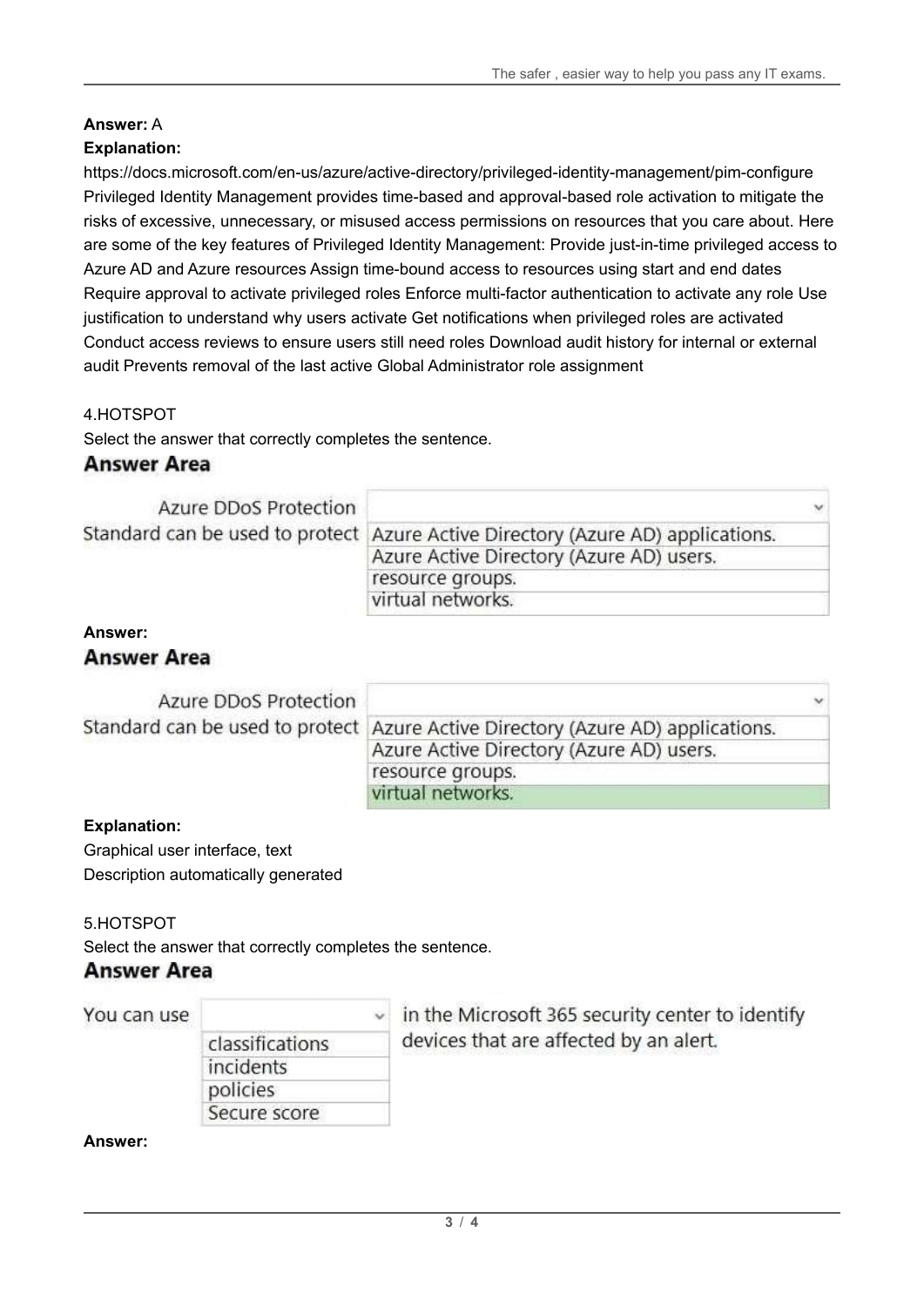## **Answer:** A

## **Explanation:**

https://docs.microsoft.com/en-us/azure/active-directory/privileged-identity-management/pim-configure Privileged Identity Management provides time-based and approval-based role activation to mitigate the risks of excessive, unnecessary, or misused access permissions on resources that you care about. Here are some of the key features of Privileged Identity Management: Provide just-in-time privileged access to Azure AD and Azure resources Assign time-bound access to resources using start and end dates Require approval to activate privileged roles Enforce multi-factor authentication to activate any role Use justification to understand why users activate Get notifications when privileged roles are activated Conduct access reviews to ensure users still need roles Download audit history for internal or external audit Prevents removal of the last active Global Administrator role assignment

#### 4.HOTSPOT

Select the answer that correctly completes the sentence.

### **Answer Area**

| Azure DDoS Protection |                                                                                 | $\checkmark$ |
|-----------------------|---------------------------------------------------------------------------------|--------------|
|                       | Standard can be used to protect Azure Active Directory (Azure AD) applications. |              |
|                       | Azure Active Directory (Azure AD) users.                                        |              |
|                       | resource groups.                                                                |              |
|                       | virtual networks.                                                               |              |

#### **Answer:**

### **Answer Area**

| Azure DDoS Protection |                                                                                 | $\checkmark$ |
|-----------------------|---------------------------------------------------------------------------------|--------------|
|                       | Standard can be used to protect Azure Active Directory (Azure AD) applications. |              |
|                       | Azure Active Directory (Azure AD) users.                                        |              |
|                       | resource groups.                                                                |              |
|                       | virtual networks.                                                               |              |

#### **Explanation:**

Graphical user interface, text Description automatically generated

#### 5.HOTSPOT

Select the answer that correctly completes the sentence.

## **Answer Area**

You can use

| classifications |  |
|-----------------|--|
| incidents       |  |
| policies        |  |
| Secure score    |  |

in the Microsoft 365 security center to identify devices that are affected by an alert.

**Answer:**